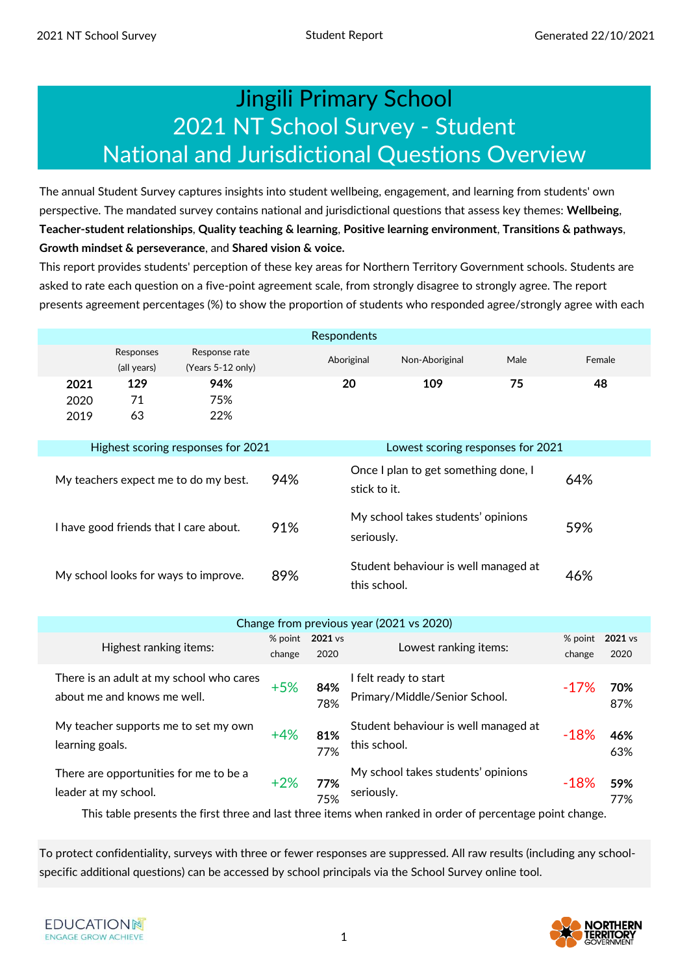### Jingili Primary School 2021 NT School Survey - Student National and Jurisdictional Questions Overview

The annual Student Survey captures insights into student wellbeing, engagement, and learning from students' own perspective. The mandated survey contains national and jurisdictional questions that assess key themes: **Wellbeing**, **Teacher-student relationships**, **Quality teaching & learning**, **Positive learning environment**, **Transitions & pathways**, **Growth mindset & perseverance**, and **Shared vision & voice.** 

This report provides students' perception of these key areas for Northern Territory Government schools. Students are asked to rate each question on a five-point agreement scale, from strongly disagree to strongly agree. The report presents agreement percentages (%) to show the proportion of students who responded agree/strongly agree with each

|                      |                          |                                        |     | Respondents  |                                      |      |        |
|----------------------|--------------------------|----------------------------------------|-----|--------------|--------------------------------------|------|--------|
|                      | Responses<br>(all years) | Response rate<br>(Years 5-12 only)     |     | Aboriginal   | Non-Aboriginal                       | Male | Female |
| 2021<br>2020<br>2019 | 129<br>71<br>63          | 94%<br>75%<br>22%                      |     | 20           | 109                                  | 75   | 48     |
|                      |                          | Highest scoring responses for 2021     |     |              | Lowest scoring responses for 2021    |      |        |
|                      |                          | My teachers expect me to do my best.   | 94% | stick to it. | Once I plan to get something done, I | 64%  |        |
|                      |                          | I have good friends that I care about. | 91% | seriously.   | My school takes students' opinions   | 59%  |        |
|                      |                          | My school looks for ways to improve.   | 89% | this school. | Student behaviour is well managed at |      | 46%    |

|                                                                         |        |                         | Change from previous year (2021 vs 2020)                                 |             |                           |
|-------------------------------------------------------------------------|--------|-------------------------|--------------------------------------------------------------------------|-------------|---------------------------|
| Highest ranking items:                                                  | change | % point 2021 vs<br>2020 | Lowest ranking items:                                                    | change      | % point $2021$ vs<br>2020 |
| There is an adult at my school who cares<br>about me and knows me well. | $+5%$  | 84%<br>78%              | I felt ready to start<br>Primary/Middle/Senior School.                   | $-17\%$     | 70%<br>87%                |
| My teacher supports me to set my own<br>learning goals.                 | $+4%$  | 81%<br>77%              | Student behaviour is well managed at<br>this school.                     | $-18%$      | 46%<br>63%                |
| There are opportunities for me to be a<br>leader at my school.          | $+2%$  | 77%<br>75%              | My school takes students' opinions<br>seriously.<br>$\sim$ $\sim$ $\sim$ | $-18%$<br>. | 59%<br>77%                |

This table presents the first three and last three items when ranked in order of percentage point change.

To protect confidentiality, surveys with three or fewer responses are suppressed. All raw results (including any schoolspecific additional questions) can be accessed by school principals via the School Survey online tool.

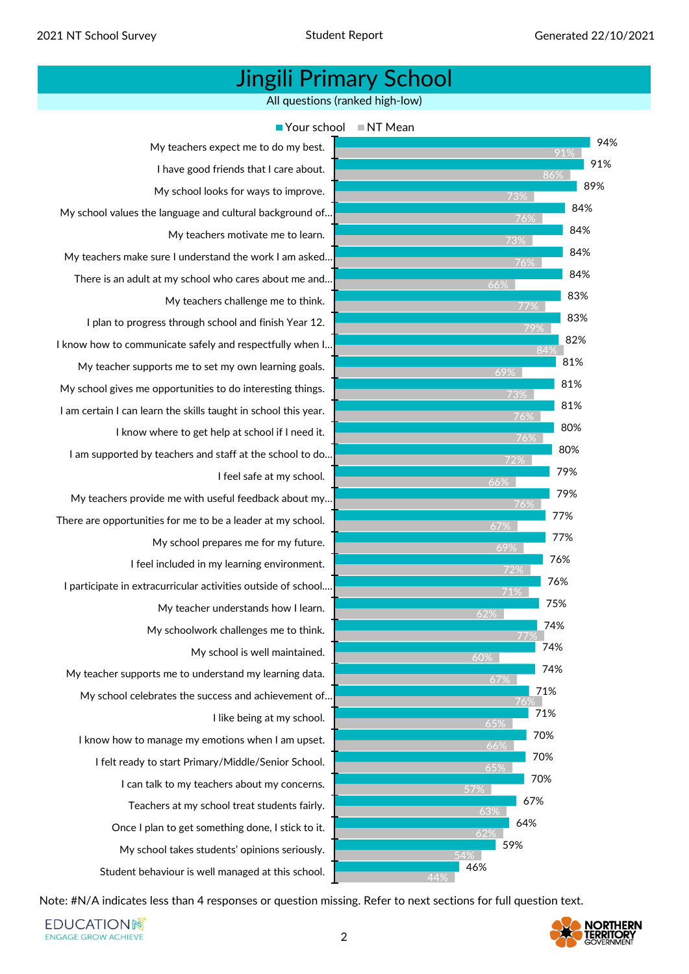All questions (ranked high-low)



Note: #N/A indicates less than 4 responses or question missing. Refer to next sections for full question text.

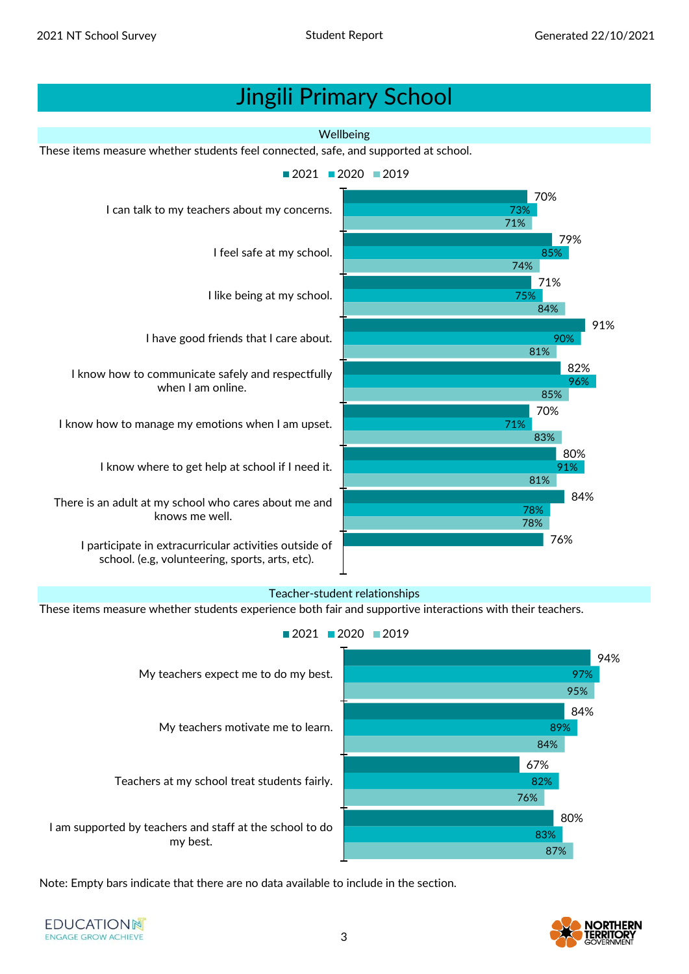

#### Teacher-student relationships

These items measure whether students experience both fair and supportive interactions with their teachers.



Note: Empty bars indicate that there are no data available to include in the section.

**EDUCATIONN ENGAGE GROW ACHIEVE** 



3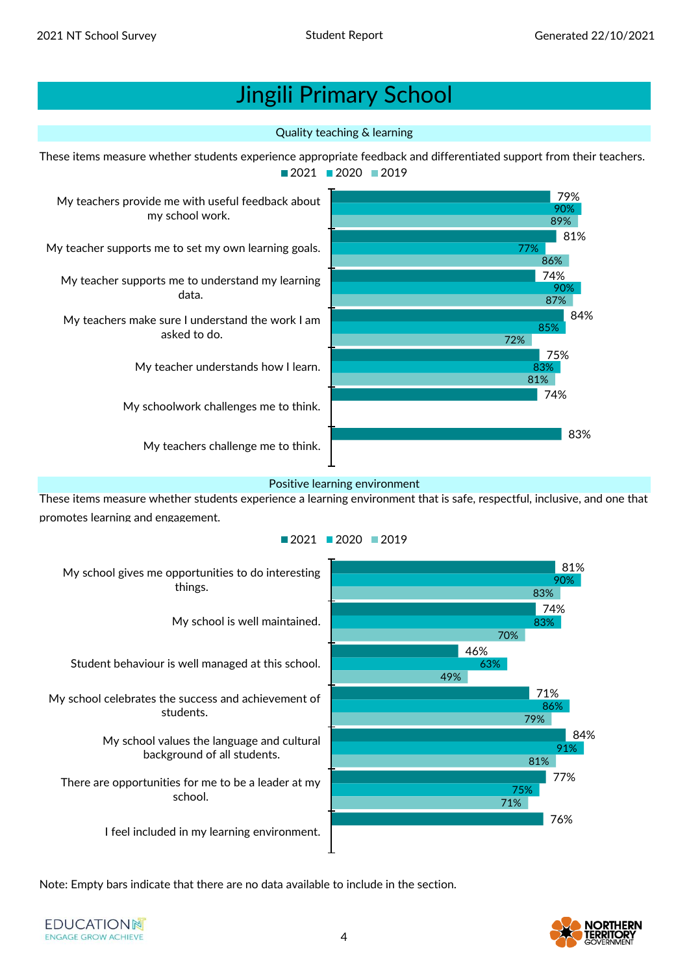#### Quality teaching & learning



#### Positive learning environment

These items measure whether students experience a learning environment that is safe, respectful, inclusive, and one that promotes learning and engagement.





Note: Empty bars indicate that there are no data available to include in the section.

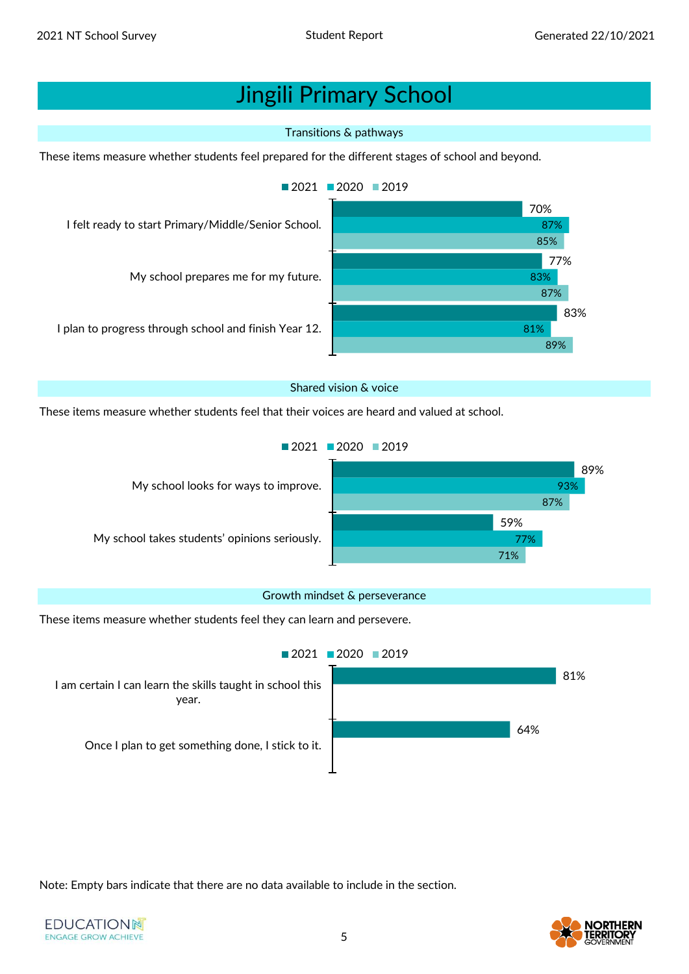#### Transitions & pathways

These items measure whether students feel prepared for the different stages of school and beyond.



#### Shared vision & voice

These items measure whether students feel that their voices are heard and valued at school.

 $2021$  2020 2019



#### Growth mindset & perseverance

These items measure whether students feel they can learn and persevere.



Note: Empty bars indicate that there are no data available to include in the section.

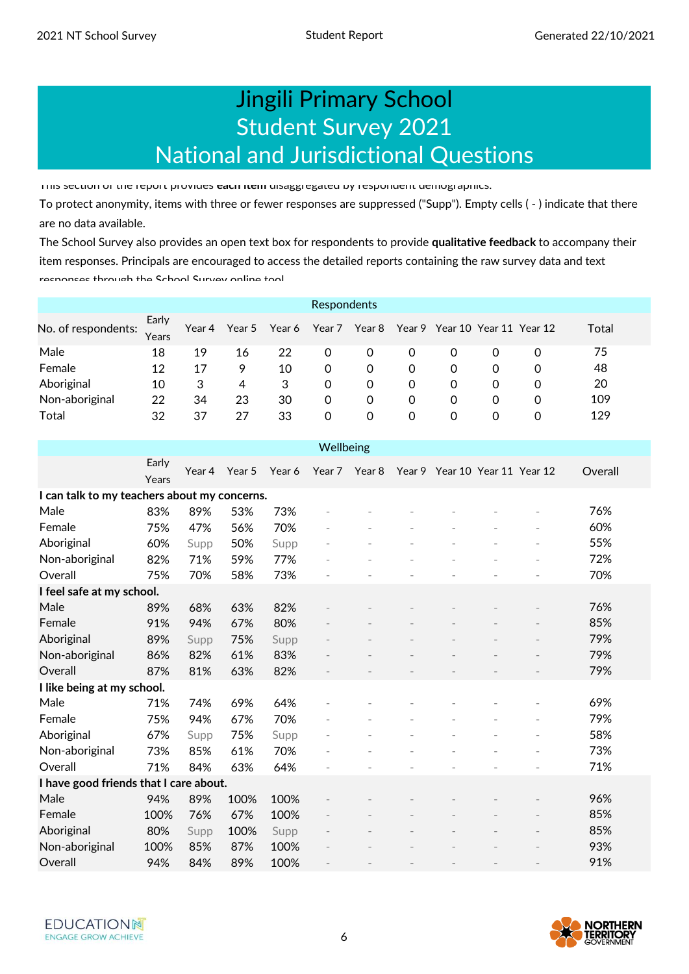### Student Survey 2021 National and Jurisdictional Questions Jingili Primary School

This section of the report provides **each item** disaggregated by respondent demographics.

To protect anonymity, items with three or fewer responses are suppressed ("Supp"). Empty cells ( - ) indicate that there are no data available.

The School Survey also provides an open text box for respondents to provide **qualitative feedback** to accompany their item responses. Principals are encouraged to access the detailed reports containing the raw survey data and text responses through the School Survey online tool

|                     |                |        |        |        | Respondents |        |   |                                |   |   |       |
|---------------------|----------------|--------|--------|--------|-------------|--------|---|--------------------------------|---|---|-------|
| No. of respondents: | Early<br>Years | Year 4 | Year 5 | Year 6 | Year 7      | Year 8 |   | Year 9 Year 10 Year 11 Year 12 |   |   | Total |
| Male                | 18             | 19     | 16     | 22     | 0           | 0      | 0 | 0                              | 0 | 0 | 75    |
| Female              | 12             | 17     | 9      | 10     | 0           | 0      | 0 | 0                              | 0 | 0 | 48    |
| Aboriginal          | 10             | 3      | 4      | 3      | 0           | 0      | 0 | 0                              | 0 | 0 | 20    |
| Non-aboriginal      | 22             | 34     | 23     | 30     | 0           | 0      | 0 | 0                              | 0 | 0 | 109   |
| <b>Total</b>        | 32             | 37     | 27     | 33     | 0           | 0      | 0 | 0                              | 0 | 0 | 129   |

| Wellbeing                                    |                |        |        |        |               |  |  |                                |  |   |         |  |
|----------------------------------------------|----------------|--------|--------|--------|---------------|--|--|--------------------------------|--|---|---------|--|
|                                              | Early<br>Years | Year 4 | Year 5 | Year 6 | Year 7 Year 8 |  |  | Year 9 Year 10 Year 11 Year 12 |  |   | Overall |  |
| I can talk to my teachers about my concerns. |                |        |        |        |               |  |  |                                |  |   |         |  |
| Male                                         | 83%            | 89%    | 53%    | 73%    |               |  |  |                                |  |   | 76%     |  |
| Female                                       | 75%            | 47%    | 56%    | 70%    |               |  |  |                                |  |   | 60%     |  |
| Aboriginal                                   | 60%            | Supp   | 50%    | Supp   |               |  |  |                                |  |   | 55%     |  |
| Non-aboriginal                               | 82%            | 71%    | 59%    | 77%    |               |  |  |                                |  |   | 72%     |  |
| Overall                                      | 75%            | 70%    | 58%    | 73%    |               |  |  |                                |  |   | 70%     |  |
| I feel safe at my school.                    |                |        |        |        |               |  |  |                                |  |   |         |  |
| Male                                         | 89%            | 68%    | 63%    | 82%    |               |  |  |                                |  |   | 76%     |  |
| Female                                       | 91%            | 94%    | 67%    | 80%    |               |  |  |                                |  |   | 85%     |  |
| Aboriginal                                   | 89%            | Supp   | 75%    | Supp   |               |  |  |                                |  |   | 79%     |  |
| Non-aboriginal                               | 86%            | 82%    | 61%    | 83%    |               |  |  |                                |  |   | 79%     |  |
| Overall                                      | 87%            | 81%    | 63%    | 82%    |               |  |  |                                |  |   | 79%     |  |
| I like being at my school.                   |                |        |        |        |               |  |  |                                |  |   |         |  |
| Male                                         | 71%            | 74%    | 69%    | 64%    |               |  |  |                                |  |   | 69%     |  |
| Female                                       | 75%            | 94%    | 67%    | 70%    | L.            |  |  |                                |  | ٠ | 79%     |  |
| Aboriginal                                   | 67%            | Supp   | 75%    | Supp   |               |  |  |                                |  |   | 58%     |  |
| Non-aboriginal                               | 73%            | 85%    | 61%    | 70%    |               |  |  |                                |  |   | 73%     |  |
| Overall                                      | 71%            | 84%    | 63%    | 64%    |               |  |  |                                |  |   | 71%     |  |
| I have good friends that I care about.       |                |        |        |        |               |  |  |                                |  |   |         |  |
| Male                                         | 94%            | 89%    | 100%   | 100%   |               |  |  |                                |  |   | 96%     |  |
| Female                                       | 100%           | 76%    | 67%    | 100%   |               |  |  |                                |  |   | 85%     |  |
| Aboriginal                                   | 80%            | Supp   | 100%   | Supp   |               |  |  |                                |  |   | 85%     |  |
| Non-aboriginal                               | 100%           | 85%    | 87%    | 100%   |               |  |  |                                |  |   | 93%     |  |
| Overall                                      | 94%            | 84%    | 89%    | 100%   |               |  |  |                                |  |   | 91%     |  |

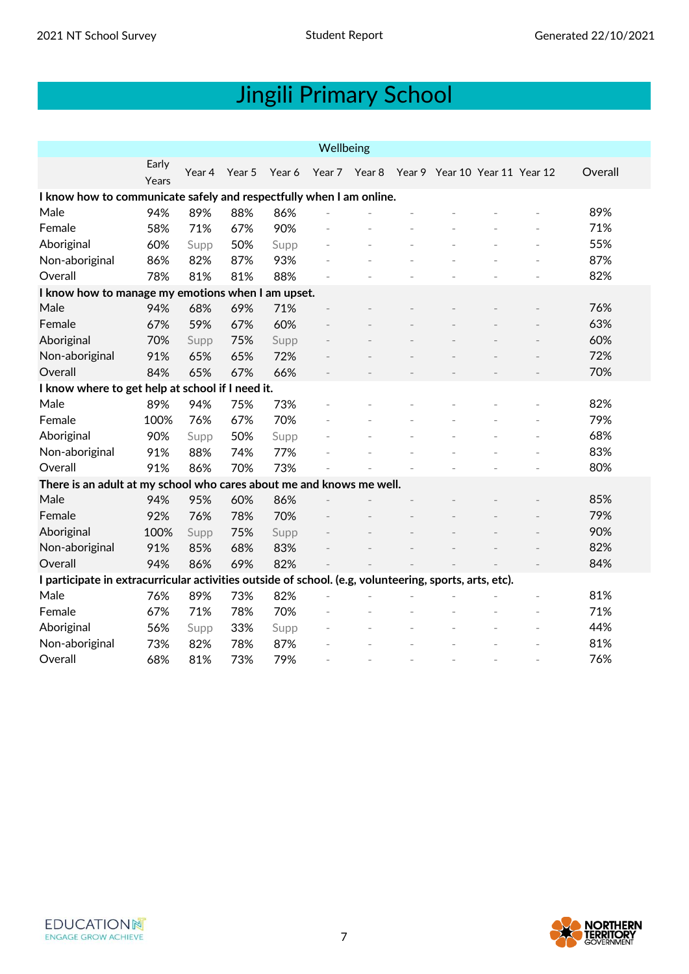| Wellbeing                                                                                              |                |        |        |        |               |  |  |                                |  |  |         |  |  |
|--------------------------------------------------------------------------------------------------------|----------------|--------|--------|--------|---------------|--|--|--------------------------------|--|--|---------|--|--|
|                                                                                                        | Early<br>Years | Year 4 | Year 5 | Year 6 | Year 7 Year 8 |  |  | Year 9 Year 10 Year 11 Year 12 |  |  | Overall |  |  |
| I know how to communicate safely and respectfully when I am online.                                    |                |        |        |        |               |  |  |                                |  |  |         |  |  |
| Male                                                                                                   | 94%            | 89%    | 88%    | 86%    |               |  |  |                                |  |  | 89%     |  |  |
| Female                                                                                                 | 58%            | 71%    | 67%    | 90%    |               |  |  |                                |  |  | 71%     |  |  |
| Aboriginal                                                                                             | 60%            | Supp   | 50%    | Supp   |               |  |  |                                |  |  | 55%     |  |  |
| Non-aboriginal                                                                                         | 86%            | 82%    | 87%    | 93%    |               |  |  |                                |  |  | 87%     |  |  |
| Overall                                                                                                | 78%            | 81%    | 81%    | 88%    |               |  |  |                                |  |  | 82%     |  |  |
| I know how to manage my emotions when I am upset.                                                      |                |        |        |        |               |  |  |                                |  |  |         |  |  |
| Male                                                                                                   | 94%            | 68%    | 69%    | 71%    |               |  |  |                                |  |  | 76%     |  |  |
| Female                                                                                                 | 67%            | 59%    | 67%    | 60%    |               |  |  |                                |  |  | 63%     |  |  |
| Aboriginal                                                                                             | 70%            | Supp   | 75%    | Supp   |               |  |  |                                |  |  | 60%     |  |  |
| Non-aboriginal                                                                                         | 91%            | 65%    | 65%    | 72%    |               |  |  |                                |  |  | 72%     |  |  |
| Overall                                                                                                | 84%            | 65%    | 67%    | 66%    |               |  |  |                                |  |  | 70%     |  |  |
| I know where to get help at school if I need it.                                                       |                |        |        |        |               |  |  |                                |  |  |         |  |  |
| Male                                                                                                   | 89%            | 94%    | 75%    | 73%    |               |  |  |                                |  |  | 82%     |  |  |
| Female                                                                                                 | 100%           | 76%    | 67%    | 70%    |               |  |  |                                |  |  | 79%     |  |  |
| Aboriginal                                                                                             | 90%            | Supp   | 50%    | Supp   |               |  |  |                                |  |  | 68%     |  |  |
| Non-aboriginal                                                                                         | 91%            | 88%    | 74%    | 77%    |               |  |  |                                |  |  | 83%     |  |  |
| Overall                                                                                                | 91%            | 86%    | 70%    | 73%    |               |  |  |                                |  |  | 80%     |  |  |
| There is an adult at my school who cares about me and knows me well.                                   |                |        |        |        |               |  |  |                                |  |  |         |  |  |
| Male                                                                                                   | 94%            | 95%    | 60%    | 86%    |               |  |  |                                |  |  | 85%     |  |  |
| Female                                                                                                 | 92%            | 76%    | 78%    | 70%    |               |  |  |                                |  |  | 79%     |  |  |
| Aboriginal                                                                                             | 100%           | Supp   | 75%    | Supp   |               |  |  |                                |  |  | 90%     |  |  |
| Non-aboriginal                                                                                         | 91%            | 85%    | 68%    | 83%    |               |  |  |                                |  |  | 82%     |  |  |
| Overall                                                                                                | 94%            | 86%    | 69%    | 82%    |               |  |  |                                |  |  | 84%     |  |  |
| I participate in extracurricular activities outside of school. (e.g, volunteering, sports, arts, etc). |                |        |        |        |               |  |  |                                |  |  |         |  |  |
| Male                                                                                                   | 76%            | 89%    | 73%    | 82%    |               |  |  |                                |  |  | 81%     |  |  |
| Female                                                                                                 | 67%            | 71%    | 78%    | 70%    |               |  |  |                                |  |  | 71%     |  |  |
| Aboriginal                                                                                             | 56%            | Supp   | 33%    | Supp   |               |  |  |                                |  |  | 44%     |  |  |
| Non-aboriginal                                                                                         | 73%            | 82%    | 78%    | 87%    |               |  |  |                                |  |  | 81%     |  |  |
| Overall                                                                                                | 68%            | 81%    | 73%    | 79%    |               |  |  |                                |  |  | 76%     |  |  |



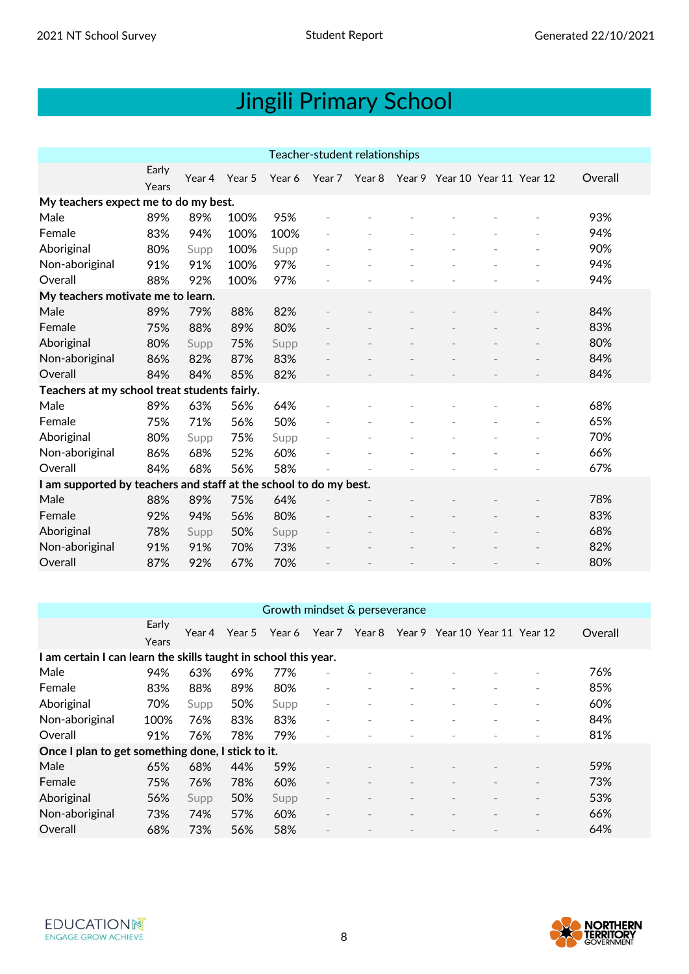|                                                                   | Teacher-student relationships        |        |        |        |        |  |  |                                       |  |  |         |  |  |
|-------------------------------------------------------------------|--------------------------------------|--------|--------|--------|--------|--|--|---------------------------------------|--|--|---------|--|--|
|                                                                   | Early<br>Years                       | Year 4 | Year 5 | Year 6 | Year 7 |  |  | Year 8 Year 9 Year 10 Year 11 Year 12 |  |  | Overall |  |  |
|                                                                   | My teachers expect me to do my best. |        |        |        |        |  |  |                                       |  |  |         |  |  |
| Male                                                              | 89%                                  | 89%    | 100%   | 95%    |        |  |  |                                       |  |  | 93%     |  |  |
| Female                                                            | 83%                                  | 94%    | 100%   | 100%   |        |  |  |                                       |  |  | 94%     |  |  |
| Aboriginal                                                        | 80%                                  | Supp   | 100%   | Supp   |        |  |  |                                       |  |  | 90%     |  |  |
| Non-aboriginal                                                    | 91%                                  | 91%    | 100%   | 97%    |        |  |  |                                       |  |  | 94%     |  |  |
| Overall                                                           | 88%                                  | 92%    | 100%   | 97%    |        |  |  |                                       |  |  | 94%     |  |  |
| My teachers motivate me to learn.                                 |                                      |        |        |        |        |  |  |                                       |  |  |         |  |  |
| Male                                                              | 89%                                  | 79%    | 88%    | 82%    |        |  |  |                                       |  |  | 84%     |  |  |
| Female                                                            | 75%                                  | 88%    | 89%    | 80%    |        |  |  |                                       |  |  | 83%     |  |  |
| Aboriginal                                                        | 80%                                  | Supp   | 75%    | Supp   |        |  |  |                                       |  |  | 80%     |  |  |
| Non-aboriginal                                                    | 86%                                  | 82%    | 87%    | 83%    |        |  |  |                                       |  |  | 84%     |  |  |
| Overall                                                           | 84%                                  | 84%    | 85%    | 82%    |        |  |  |                                       |  |  | 84%     |  |  |
| Teachers at my school treat students fairly.                      |                                      |        |        |        |        |  |  |                                       |  |  |         |  |  |
| Male                                                              | 89%                                  | 63%    | 56%    | 64%    |        |  |  |                                       |  |  | 68%     |  |  |
| Female                                                            | 75%                                  | 71%    | 56%    | 50%    |        |  |  |                                       |  |  | 65%     |  |  |
| Aboriginal                                                        | 80%                                  | Supp   | 75%    | Supp   |        |  |  |                                       |  |  | 70%     |  |  |
| Non-aboriginal                                                    | 86%                                  | 68%    | 52%    | 60%    |        |  |  |                                       |  |  | 66%     |  |  |
| Overall                                                           | 84%                                  | 68%    | 56%    | 58%    |        |  |  |                                       |  |  | 67%     |  |  |
| I am supported by teachers and staff at the school to do my best. |                                      |        |        |        |        |  |  |                                       |  |  |         |  |  |
| Male                                                              | 88%                                  | 89%    | 75%    | 64%    |        |  |  |                                       |  |  | 78%     |  |  |
| Female                                                            | 92%                                  | 94%    | 56%    | 80%    |        |  |  |                                       |  |  | 83%     |  |  |
| Aboriginal                                                        | 78%                                  | Supp   | 50%    | Supp   |        |  |  |                                       |  |  | 68%     |  |  |
| Non-aboriginal                                                    | 91%                                  | 91%    | 70%    | 73%    |        |  |  |                                       |  |  | 82%     |  |  |
| Overall                                                           | 87%                                  | 92%    | 67%    | 70%    |        |  |  |                                       |  |  | 80%     |  |  |
|                                                                   |                                      |        |        |        |        |  |  |                                       |  |  |         |  |  |

#### Growth mindset & perseverance

|                                                                 | Early<br>Years | Year 4 | Year 5 | Year 6 | Year 7                   | Year 8 |                          | Year 9 Year 10 Year 11 Year 12 |                          |                          | Overall |
|-----------------------------------------------------------------|----------------|--------|--------|--------|--------------------------|--------|--------------------------|--------------------------------|--------------------------|--------------------------|---------|
| I am certain I can learn the skills taught in school this year. |                |        |        |        |                          |        |                          |                                |                          |                          |         |
| Male                                                            | 94%            | 63%    | 69%    | 77%    |                          |        |                          |                                |                          |                          | 76%     |
| Female                                                          | 83%            | 88%    | 89%    | 80%    | $\overline{\phantom{a}}$ |        |                          |                                |                          |                          | 85%     |
| Aboriginal                                                      | 70%            | Supp   | 50%    | Supp   | $\overline{\phantom{a}}$ |        | $\overline{\phantom{a}}$ | $\overline{\phantom{a}}$       | $\overline{\phantom{a}}$ |                          | 60%     |
| Non-aboriginal                                                  | 100%           | 76%    | 83%    | 83%    | $\overline{\phantom{a}}$ |        |                          |                                | $\overline{\phantom{a}}$ | $\overline{\phantom{a}}$ | 84%     |
| Overall                                                         | 91%            | 76%    | 78%    | 79%    | $\overline{\phantom{a}}$ |        |                          |                                |                          |                          | 81%     |
| Once I plan to get something done, I stick to it.               |                |        |        |        |                          |        |                          |                                |                          |                          |         |
| Male                                                            | 65%            | 68%    | 44%    | 59%    | $\overline{\phantom{a}}$ |        |                          |                                |                          |                          | 59%     |
| Female                                                          | 75%            | 76%    | 78%    | 60%    | $\overline{\phantom{a}}$ |        |                          |                                |                          |                          | 73%     |
| Aboriginal                                                      | 56%            | Supp   | 50%    | Supp   |                          |        |                          |                                |                          | $\overline{\phantom{a}}$ | 53%     |
| Non-aboriginal                                                  | 73%            | 74%    | 57%    | 60%    | $\overline{\phantom{a}}$ |        |                          |                                |                          | $\overline{\phantom{a}}$ | 66%     |
| Overall                                                         | 68%            | 73%    | 56%    | 58%    | $\overline{\phantom{a}}$ |        |                          |                                |                          |                          | 64%     |

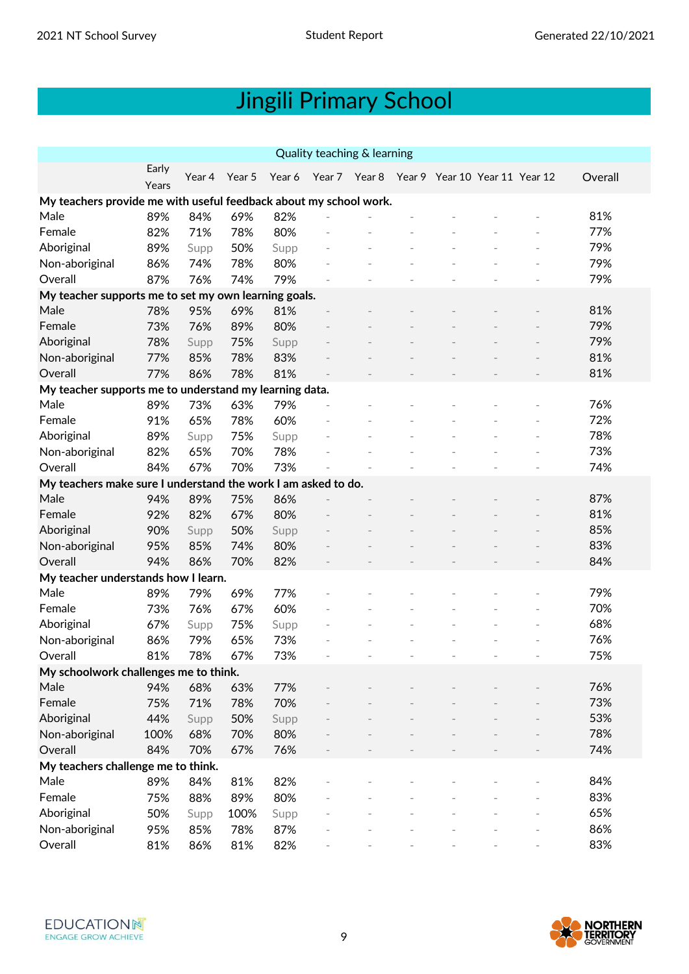| Quality teaching & learning                                       |       |        |        |        |  |  |  |                                              |  |  |         |
|-------------------------------------------------------------------|-------|--------|--------|--------|--|--|--|----------------------------------------------|--|--|---------|
|                                                                   | Early | Year 4 | Year 5 | Year 6 |  |  |  | Year 7 Year 8 Year 9 Year 10 Year 11 Year 12 |  |  | Overall |
|                                                                   | Years |        |        |        |  |  |  |                                              |  |  |         |
| My teachers provide me with useful feedback about my school work. |       |        |        |        |  |  |  |                                              |  |  |         |
| Male                                                              | 89%   | 84%    | 69%    | 82%    |  |  |  |                                              |  |  | 81%     |
| Female                                                            | 82%   | 71%    | 78%    | 80%    |  |  |  |                                              |  |  | 77%     |
| Aboriginal                                                        | 89%   | Supp   | 50%    | Supp   |  |  |  |                                              |  |  | 79%     |
| Non-aboriginal                                                    | 86%   | 74%    | 78%    | 80%    |  |  |  |                                              |  |  | 79%     |
| Overall                                                           | 87%   | 76%    | 74%    | 79%    |  |  |  |                                              |  |  | 79%     |
| My teacher supports me to set my own learning goals.              |       |        |        |        |  |  |  |                                              |  |  |         |
| Male                                                              | 78%   | 95%    | 69%    | 81%    |  |  |  |                                              |  |  | 81%     |
| Female                                                            | 73%   | 76%    | 89%    | 80%    |  |  |  |                                              |  |  | 79%     |
| Aboriginal                                                        | 78%   | Supp   | 75%    | Supp   |  |  |  |                                              |  |  | 79%     |
| Non-aboriginal                                                    | 77%   | 85%    | 78%    | 83%    |  |  |  |                                              |  |  | 81%     |
| Overall                                                           | 77%   | 86%    | 78%    | 81%    |  |  |  |                                              |  |  | 81%     |
| My teacher supports me to understand my learning data.            |       |        |        |        |  |  |  |                                              |  |  |         |
| Male                                                              | 89%   | 73%    | 63%    | 79%    |  |  |  |                                              |  |  | 76%     |
| Female                                                            | 91%   | 65%    | 78%    | 60%    |  |  |  |                                              |  |  | 72%     |
| Aboriginal                                                        | 89%   | Supp   | 75%    | Supp   |  |  |  |                                              |  |  | 78%     |
| Non-aboriginal                                                    | 82%   | 65%    | 70%    | 78%    |  |  |  |                                              |  |  | 73%     |
| Overall                                                           | 84%   | 67%    | 70%    | 73%    |  |  |  |                                              |  |  | 74%     |
| My teachers make sure I understand the work I am asked to do.     |       |        |        |        |  |  |  |                                              |  |  |         |
| Male                                                              | 94%   | 89%    | 75%    | 86%    |  |  |  |                                              |  |  | 87%     |
| Female                                                            | 92%   | 82%    | 67%    | 80%    |  |  |  |                                              |  |  | 81%     |
| Aboriginal                                                        | 90%   | Supp   | 50%    | Supp   |  |  |  |                                              |  |  | 85%     |
| Non-aboriginal                                                    | 95%   | 85%    | 74%    | 80%    |  |  |  |                                              |  |  | 83%     |
| Overall                                                           | 94%   | 86%    | 70%    | 82%    |  |  |  |                                              |  |  | 84%     |
| My teacher understands how I learn.                               |       |        |        |        |  |  |  |                                              |  |  |         |
| Male                                                              | 89%   | 79%    | 69%    | 77%    |  |  |  |                                              |  |  | 79%     |
| Female                                                            | 73%   | 76%    | 67%    | 60%    |  |  |  |                                              |  |  | 70%     |
| Aboriginal                                                        | 67%   | Supp   | 75%    | Supp   |  |  |  |                                              |  |  | 68%     |
| Non-aboriginal                                                    | 86%   | 79%    | 65%    | 73%    |  |  |  |                                              |  |  | 76%     |
| Overall                                                           | 81%   | 78%    | 67%    | 73%    |  |  |  |                                              |  |  | 75%     |
| My schoolwork challenges me to think.                             |       |        |        |        |  |  |  |                                              |  |  |         |
| Male                                                              | 94%   | 68%    | 63%    | 77%    |  |  |  |                                              |  |  | 76%     |
| Female                                                            | 75%   | 71%    | 78%    | 70%    |  |  |  |                                              |  |  | 73%     |
| Aboriginal                                                        | 44%   | Supp   | 50%    | Supp   |  |  |  |                                              |  |  | 53%     |
| Non-aboriginal                                                    | 100%  | 68%    | 70%    | 80%    |  |  |  |                                              |  |  | 78%     |
| Overall                                                           | 84%   | 70%    | 67%    | 76%    |  |  |  |                                              |  |  | 74%     |
| My teachers challenge me to think.                                |       |        |        |        |  |  |  |                                              |  |  |         |
| Male                                                              | 89%   | 84%    | 81%    | 82%    |  |  |  |                                              |  |  | 84%     |
| Female                                                            | 75%   | 88%    | 89%    | 80%    |  |  |  |                                              |  |  | 83%     |
| Aboriginal                                                        | 50%   | Supp   | 100%   | Supp   |  |  |  |                                              |  |  | 65%     |
| Non-aboriginal                                                    | 95%   | 85%    | 78%    | 87%    |  |  |  |                                              |  |  | 86%     |
| Overall                                                           | 81%   | 86%    | 81%    | 82%    |  |  |  |                                              |  |  | 83%     |

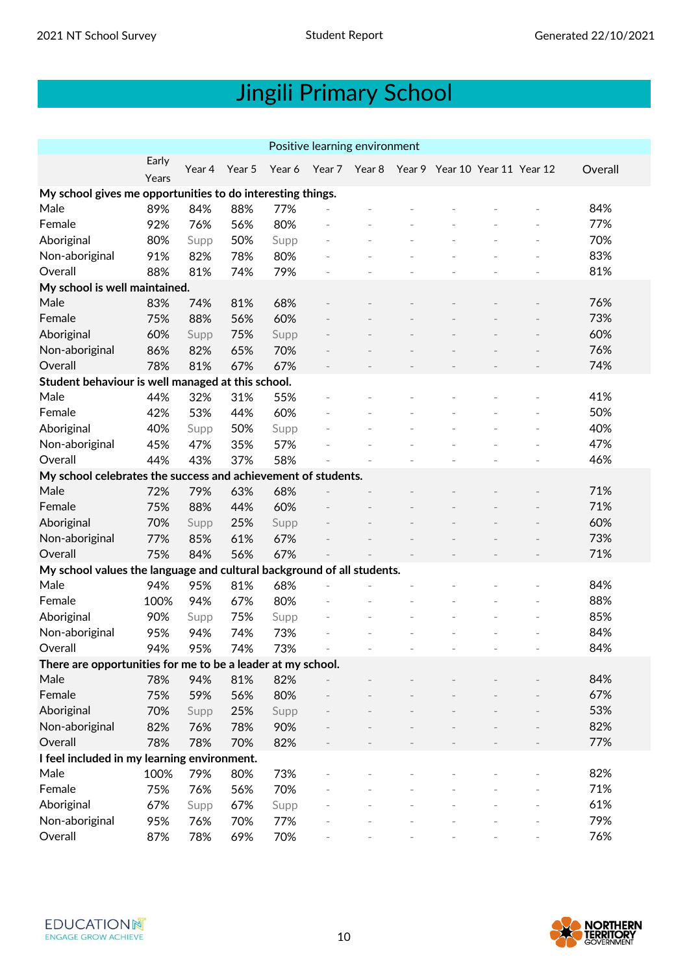| Positive learning environment                                          |       |        |        |        |               |  |  |                                |  |  |         |  |
|------------------------------------------------------------------------|-------|--------|--------|--------|---------------|--|--|--------------------------------|--|--|---------|--|
|                                                                        | Early | Year 4 | Year 5 | Year 6 | Year 7 Year 8 |  |  | Year 9 Year 10 Year 11 Year 12 |  |  | Overall |  |
|                                                                        | Years |        |        |        |               |  |  |                                |  |  |         |  |
| My school gives me opportunities to do interesting things.             |       |        |        |        |               |  |  |                                |  |  |         |  |
| Male                                                                   | 89%   | 84%    | 88%    | 77%    |               |  |  |                                |  |  | 84%     |  |
| Female                                                                 | 92%   | 76%    | 56%    | 80%    |               |  |  |                                |  |  | 77%     |  |
| Aboriginal                                                             | 80%   | Supp   | 50%    | Supp   |               |  |  |                                |  |  | 70%     |  |
| Non-aboriginal                                                         | 91%   | 82%    | 78%    | 80%    |               |  |  |                                |  |  | 83%     |  |
| Overall                                                                | 88%   | 81%    | 74%    | 79%    |               |  |  |                                |  |  | 81%     |  |
| My school is well maintained.                                          |       |        |        |        |               |  |  |                                |  |  |         |  |
| Male                                                                   | 83%   | 74%    | 81%    | 68%    |               |  |  |                                |  |  | 76%     |  |
| Female                                                                 | 75%   | 88%    | 56%    | 60%    |               |  |  |                                |  |  | 73%     |  |
| Aboriginal                                                             | 60%   | Supp   | 75%    | Supp   |               |  |  |                                |  |  | 60%     |  |
| Non-aboriginal                                                         | 86%   | 82%    | 65%    | 70%    |               |  |  |                                |  |  | 76%     |  |
| Overall                                                                | 78%   | 81%    | 67%    | 67%    |               |  |  |                                |  |  | 74%     |  |
| Student behaviour is well managed at this school.                      |       |        |        |        |               |  |  |                                |  |  |         |  |
| Male                                                                   | 44%   | 32%    | 31%    | 55%    |               |  |  |                                |  |  | 41%     |  |
| Female                                                                 | 42%   | 53%    | 44%    | 60%    |               |  |  |                                |  |  | 50%     |  |
| Aboriginal                                                             | 40%   | Supp   | 50%    | Supp   |               |  |  |                                |  |  | 40%     |  |
| Non-aboriginal                                                         | 45%   | 47%    | 35%    | 57%    |               |  |  |                                |  |  | 47%     |  |
| Overall                                                                | 44%   | 43%    | 37%    | 58%    |               |  |  |                                |  |  | 46%     |  |
| My school celebrates the success and achievement of students.          |       |        |        |        |               |  |  |                                |  |  |         |  |
| Male                                                                   | 72%   | 79%    | 63%    | 68%    |               |  |  |                                |  |  | 71%     |  |
| Female                                                                 | 75%   | 88%    | 44%    | 60%    |               |  |  |                                |  |  | 71%     |  |
| Aboriginal                                                             | 70%   | Supp   | 25%    | Supp   |               |  |  |                                |  |  | 60%     |  |
| Non-aboriginal                                                         | 77%   | 85%    | 61%    | 67%    |               |  |  |                                |  |  | 73%     |  |
| Overall                                                                | 75%   | 84%    | 56%    | 67%    |               |  |  |                                |  |  | 71%     |  |
| My school values the language and cultural background of all students. |       |        |        |        |               |  |  |                                |  |  |         |  |
| Male                                                                   | 94%   | 95%    | 81%    | 68%    |               |  |  |                                |  |  | 84%     |  |
| Female                                                                 | 100%  | 94%    | 67%    | 80%    |               |  |  |                                |  |  | 88%     |  |
| Aboriginal                                                             | 90%   | Supp   | 75%    | Supp   |               |  |  |                                |  |  | 85%     |  |
| Non-aboriginal                                                         | 95%   | 94%    | 74%    | 73%    |               |  |  |                                |  |  | 84%     |  |
| Overall                                                                | 94%   | 95%    | 74%    | 73%    |               |  |  |                                |  |  | 84%     |  |
| There are opportunities for me to be a leader at my school.            |       |        |        |        |               |  |  |                                |  |  |         |  |
| Male                                                                   | 78%   | 94%    | 81%    | 82%    |               |  |  |                                |  |  | 84%     |  |
| Female                                                                 | 75%   | 59%    | 56%    | 80%    |               |  |  |                                |  |  | 67%     |  |
| Aboriginal                                                             | 70%   | Supp   | 25%    | Supp   |               |  |  |                                |  |  | 53%     |  |
| Non-aboriginal                                                         | 82%   | 76%    | 78%    | 90%    |               |  |  |                                |  |  | 82%     |  |
| Overall                                                                | 78%   | 78%    | 70%    | 82%    |               |  |  |                                |  |  | 77%     |  |
| I feel included in my learning environment.                            |       |        |        |        |               |  |  |                                |  |  |         |  |
| Male                                                                   | 100%  | 79%    | 80%    | 73%    |               |  |  |                                |  |  | 82%     |  |
| Female                                                                 | 75%   | 76%    | 56%    | 70%    |               |  |  |                                |  |  | 71%     |  |
| Aboriginal                                                             | 67%   | Supp   | 67%    | Supp   |               |  |  |                                |  |  | 61%     |  |
| Non-aboriginal                                                         | 95%   | 76%    | 70%    | 77%    |               |  |  |                                |  |  | 79%     |  |
| Overall                                                                | 87%   | 78%    | 69%    | 70%    |               |  |  |                                |  |  | 76%     |  |